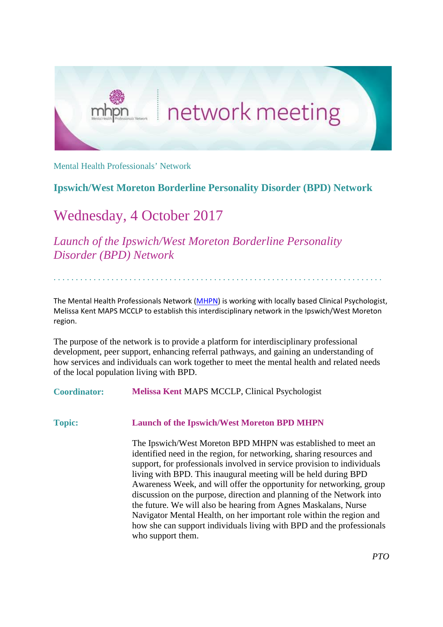

Mental Health Professionals' Network

## **Ipswich/West Moreton Borderline Personality Disorder (BPD) Network**

## Wednesday, 4 October 2017

*Launch of the Ipswich/West Moreton Borderline Personality Disorder (BPD) Network*

The Mental Health Professionals Network [\(MHPN\)](http://www.mhpn.org.au/) is working with locally based Clinical Psychologist, Melissa Kent MAPS MCCLP to establish this interdisciplinary network in the Ipswich/West Moreton region.

. . . . . . . . . . . . . . . . . . . . . . . . . . . . . . . . . . . . . . . . . . . . . . . . . . . . . . . . . . . . . . . . . . . . . . . . . .

The purpose of the network is to provide a platform for interdisciplinary professional development, peer support, enhancing referral pathways, and gaining an understanding of how services and individuals can work together to meet the mental health and related needs of the local population living with BPD.

**Coordinator: Melissa Kent** MAPS MCCLP, Clinical Psychologist

## **Topic: Launch of the Ipswich/West Moreton BPD MHPN**

The Ipswich/West Moreton BPD MHPN was established to meet an identified need in the region, for networking, sharing resources and support, for professionals involved in service provision to individuals living with BPD. This inaugural meeting will be held during BPD Awareness Week, and will offer the opportunity for networking, group discussion on the purpose, direction and planning of the Network into the future. We will also be hearing from Agnes Maskalans, Nurse Navigator Mental Health, on her important role within the region and how she can support individuals living with BPD and the professionals who support them.